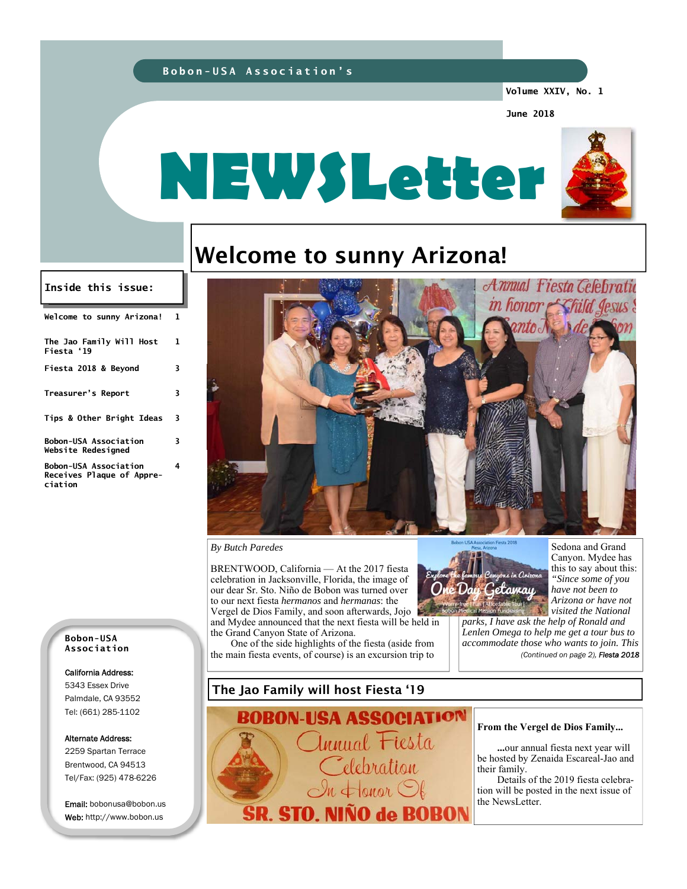### **Bobon-USA Association's**

**Volume XXIV, No. 1** 

Annual Fiesta Gelebratic

onor *Exhild Jesus* 

**June 2018** 



# Welcome to sunny Arizona!

### **Inside this issue:**

| Welcome to sunny Arizona!                                            | 1 |
|----------------------------------------------------------------------|---|
| The Jao Family Will Host<br>Fiesta '19                               | 1 |
| Fiesta 2018 & Beyond                                                 | 3 |
| Treasurer's Report                                                   | 3 |
| Tips & Other Bright Ideas                                            | 3 |
| <b>Bobon-USA Association</b><br>Website Redesigned                   | 3 |
| <b>Bobon-USA Association</b><br>Receives Plaque of Appre-<br>ciation | 4 |



BRENTWOOD, California — At the 2017 fiesta celebration in Jacksonville, Florida, the image of our dear Sr. Sto. Niño de Bobon was turned over to our next fiesta *hermanos* and *hermanas*: the Vergel de Dios Family, and soon afterwards, Jojo and Mydee announced that the next fiesta will be held in the Grand Canyon State of Arizona.

One of the side highlights of the fiesta (aside from the main fiesta events, of course) is an excursion trip to



亜

Sedona and Grand Canyon. Mydee has this to say about this: *"Since some of you have not been to Arizona or have not visited the National* 

*parks, I have ask the help of Ronald and Lenlen Omega to help me get a tour bus to accommodate those who wants to join. This (Continued on page 2), Fiesta 2018* 

**Bobon-USA Association** 

### California Address:

5343 Essex Drive Palmdale, CA 93552 Tel: (661) 285-1102

Alternate Address:

2259 Spartan Terrace Brentwood, CA 94513 Tel/Fax: (925) 478-6226

Email: bobonusa@bobon.us Web: http://www.bobon.us

### The Jao Family will host Fiesta '19

**BOBON-USA ASSOCIATION** lnnual Fiesta elebration  $\leftarrow$  onor  $\bigcirc$ SR. STO. NIÑO de BOBON

#### **From the Vergel de Dios Family...**

 **...**our annual fiesta next year will be hosted by Zenaida Escareal-Jao and their family.

 Details of the 2019 fiesta celebration will be posted in the next issue of the NewsLetter.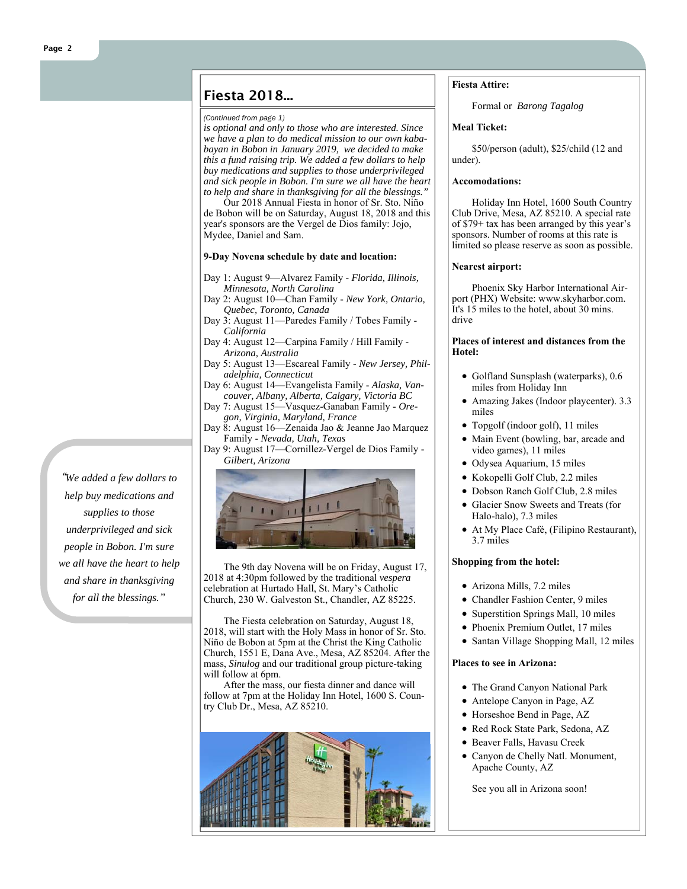### Fiesta 2018...

#### *(Continued from page 1)*

*is optional and only to those who are interested. Since we have a plan to do medical mission to our own kababayan in Bobon in January 2019, we decided to make this a fund raising trip. We added a few dollars to help buy medications and supplies to those underprivileged and sick people in Bobon. I'm sure we all have the heart to help and share in thanksgiving for all the blessings."*

Our 2018 Annual Fiesta in honor of Sr. Sto. Niño de Bobon will be on Saturday, August 18, 2018 and this year's sponsors are the Vergel de Dios family: Jojo, Mydee, Daniel and Sam.

### **9-Day Novena schedule by date and location:**

- Day 1: August 9—Alvarez Family *Florida, Illinois, Minnesota, North Carolina*
- Day 2: August 10—Chan Family *New York, Ontario, Quebec, Toronto, Canada*
- Day 3: August 11—Paredes Family / Tobes Family *California*
- Day 4: August 12—Carpina Family / Hill Family *Arizona, Australia*
- Day 5: August 13—Escareal Family *New Jersey, Philadelphia, Connecticut*
- Day 6: August 14—Evangelista Family *Alaska, Vancouver, Albany, Alberta, Calgary, Victoria BC*
- Day 7: August 15—Vasquez-Ganaban Family *Oregon, Virginia, Maryland, France*
- Day 8: August 16—Zenaida Jao & Jeanne Jao Marquez Family - *Nevada, Utah, Texas*
- Day 9: August 17—Cornillez-Vergel de Dios Family *Gilbert, Arizona*



The 9th day Novena will be on Friday, August 17, 2018 at 4:30pm followed by the traditional *vespera* celebration at Hurtado Hall, St. Mary's Catholic Church, 230 W. Galveston St., Chandler, AZ 85225.

The Fiesta celebration on Saturday, August 18, 2018, will start with the Holy Mass in honor of Sr. Sto. Niño de Bobon at 5pm at the Christ the King Catholic Church, 1551 E, Dana Ave., Mesa, AZ 85204. After the mass, *Sinulog* and our traditional group picture-taking will follow at 6pm.

After the mass, our fiesta dinner and dance will follow at 7pm at the Holiday Inn Hotel, 1600 S. Country Club Dr., Mesa, AZ 85210.



### **Fiesta Attire:**

Formal or *Barong Tagalog*

### **Meal Ticket:**

\$50/person (adult), \$25/child (12 and under).

### **Accomodations:**

Holiday Inn Hotel, 1600 South Country Club Drive, Mesa, AZ 85210. A special rate of \$79+ tax has been arranged by this year's sponsors. Number of rooms at this rate is limited so please reserve as soon as possible.

### **Nearest airport:**

Phoenix Sky Harbor International Airport (PHX) Website: www.skyharbor.com. It's 15 miles to the hotel, about 30 mins. drive

### **Places of interest and distances from the Hotel:**

- Golfland Sunsplash (waterparks), 0.6 miles from Holiday Inn
- Amazing Jakes (Indoor playcenter). 3.3 miles
- Topgolf (indoor golf), 11 miles
- Main Event (bowling, bar, arcade and video games), 11 miles
- Odysea Aquarium, 15 miles
- Kokopelli Golf Club, 2.2 miles
- Dobson Ranch Golf Club, 2.8 miles
- Glacier Snow Sweets and Treats (for Halo-halo), 7.3 miles
- At My Place Café, (Filipino Restaurant), 3.7 miles

### **Shopping from the hotel:**

- Arizona Mills, 7.2 miles
- Chandler Fashion Center, 9 miles
- Superstition Springs Mall, 10 miles
- Phoenix Premium Outlet, 17 miles
- Santan Village Shopping Mall, 12 miles

### **Places to see in Arizona:**

- The Grand Canyon National Park
- Antelope Canyon in Page, AZ
- Horseshoe Bend in Page, AZ
- Red Rock State Park, Sedona, AZ
- Beaver Falls, Havasu Creek
- Canyon de Chelly Natl. Monument, Apache County, AZ

See you all in Arizona soon!

*"We added a few dollars to help buy medications and supplies to those underprivileged and sick people in Bobon. I'm sure we all have the heart to help and share in thanksgiving for all the blessings."*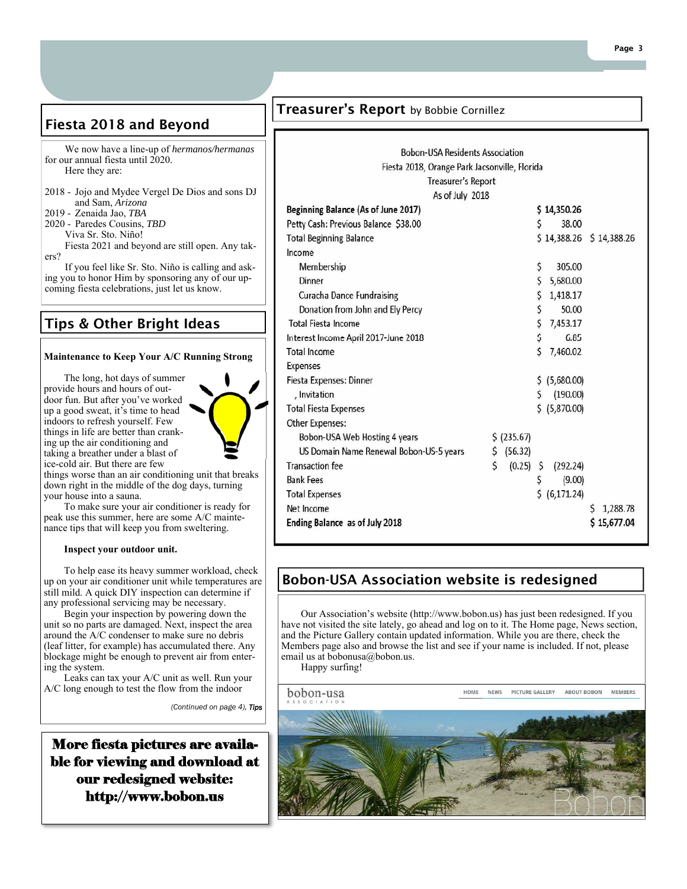# Fiesta 2018 and Beyond

 We now have a line-up of *hermanos/hermanas*  for our annual fiesta until 2020. Here they are:

- 2018 Jojo and Mydee Vergel De Dios and sons DJ and Sam, *Arizona*
- 2019 Zenaida Jao, *TBA*
- 2020 Paredes Cousins, *TBD*
	- Viva Sr. Sto. Niño!
- Fiesta 2021 and beyond are still open. Any takers?

 If you feel like Sr. Sto. Niño is calling and asking you to honor Him by sponsoring any of our upcoming fiesta celebrations, just let us know.

# Tips & Other Bright Ideas

### **Maintenance to Keep Your A/C Running Strong**

The long, hot days of summer provide hours and hours of outdoor fun. But after you've worked up a good sweat, it's time to head indoors to refresh yourself. Few things in life are better than cranking up the air conditioning and taking a breather under a blast of ice-cold air. But there are few

things worse than an air conditioning unit that breaks down right in the middle of the dog days, turning your house into a sauna.

To make sure your air conditioner is ready for peak use this summer, here are some A/C maintenance tips that will keep you from sweltering.

### **Inspect your outdoor unit.**

To help ease its heavy summer workload, check up on your air conditioner unit while temperatures are still mild. A quick DIY inspection can determine if any professional servicing may be necessary.

Begin your inspection by powering down the unit so no parts are damaged. Next, inspect the area around the A/C condenser to make sure no debris (leaf litter, for example) has accumulated there. Any blockage might be enough to prevent air from entering the system.

Leaks can tax your A/C unit as well. Run your A/C long enough to test the flow from the indoor

*(Continued on page 4), Tips*

More fiesta pictures are available for viewing and download at our redesigned website: http://www.bobon.us

### Treasurer's Report by Bobbie Cornillez

| <b>Bobon-USA Residents Association</b>        |    |             |    |                |                         |  |  |  |
|-----------------------------------------------|----|-------------|----|----------------|-------------------------|--|--|--|
| Fiesta 2018, Orange Park Jacsonville, Florida |    |             |    |                |                         |  |  |  |
| <b>Treasurer's Report</b>                     |    |             |    |                |                         |  |  |  |
| As of July 2018                               |    |             |    |                |                         |  |  |  |
| Beginning Balance (As of June 2017)           |    |             |    | \$14,350.26    |                         |  |  |  |
| Petty Cash: Previous Balance \$38.00          |    |             | \$ | 38.00          |                         |  |  |  |
| <b>Total Beginning Balance</b>                |    |             |    |                | \$14,388.26 \$14,388.26 |  |  |  |
| Income                                        |    |             |    |                |                         |  |  |  |
| Membership                                    |    |             | \$ | 305.00         |                         |  |  |  |
| Dinner                                        |    |             | \$ | 5,680.00       |                         |  |  |  |
| <b>Curacha Dance Fundraising</b>              |    |             | \$ | 1,418.17       |                         |  |  |  |
| Donation from John and Ely Percy              |    |             | \$ | 50.00          |                         |  |  |  |
| <b>Total Fiesta Income</b>                    |    |             | \$ | 7,453.17       |                         |  |  |  |
| Interest Income April 2017-June 2018          |    |             | \$ | 6.85           |                         |  |  |  |
| <b>Total Income</b>                           |    |             | Ś  | 7,460.02       |                         |  |  |  |
| Expenses                                      |    |             |    |                |                         |  |  |  |
| Fiesta Expenses: Dinner                       |    |             |    | \$ (5,680.00)  |                         |  |  |  |
| , Invitation                                  |    |             | \$ | (190.00)       |                         |  |  |  |
| Total Fiesta Expenses                         |    |             |    | \$ (5,870.00)  |                         |  |  |  |
| Other Expenses:                               |    |             |    |                |                         |  |  |  |
| Bobon-USA Web Hosting 4 years                 |    | \$ (235.67) |    |                |                         |  |  |  |
| US Domain Name Renewal Bobon-US-5 years       |    | \$ (56.32)  |    |                |                         |  |  |  |
| <b>Transaction</b> fee                        | \$ | $(0.25)$ \$ |    | (292.24)       |                         |  |  |  |
| Bank Fees                                     |    |             | \$ | (9.00)         |                         |  |  |  |
| <b>Total Expenses</b>                         |    |             |    | \$ (6, 171.24) |                         |  |  |  |
| Net Income                                    |    |             |    |                | S<br>1,288.78           |  |  |  |
| <b>Ending Balance</b> as of July 2018         |    |             |    |                | \$15,677.04             |  |  |  |
|                                               |    |             |    |                |                         |  |  |  |

### Bobon-USA Association website is redesigned

Our Association's website (http://www.bobon.us) has just been redesigned. If you have not visited the site lately, go ahead and log on to it. The Home page, News section, and the Picture Gallery contain updated information. While you are there, check the Members page also and browse the list and see if your name is included. If not, please email us at bobonusa@bobon.us.

Happy surfing!

bobon-usa

PICTURE GALLERY ABOUT BOBON MEMBERS HOME **NEWS**